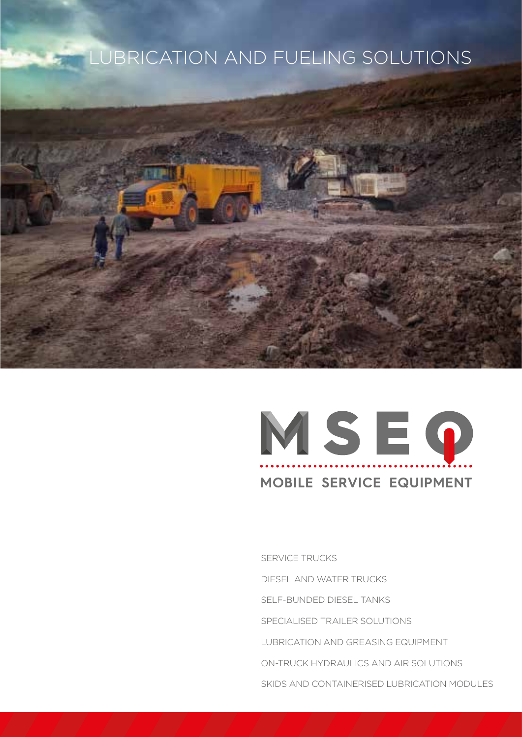# **LUBRICATION AND FUELING SOLUTIONS**



# MSEQ MOBILE SERVICE EQUIPMENT

SERVICE TRUCKS DIESEL AND WATER TRUCKS SELF-BUNDED DIESEL TANKS SPECIALISED TRAILER SOLUTIONS LUBRICATION AND GREASING EQUIPMENT ON-TRUCK HYDRAULICS AND AIR SOLUTIONS SKIDS AND CONTAINERISED LUBRICATION MODULES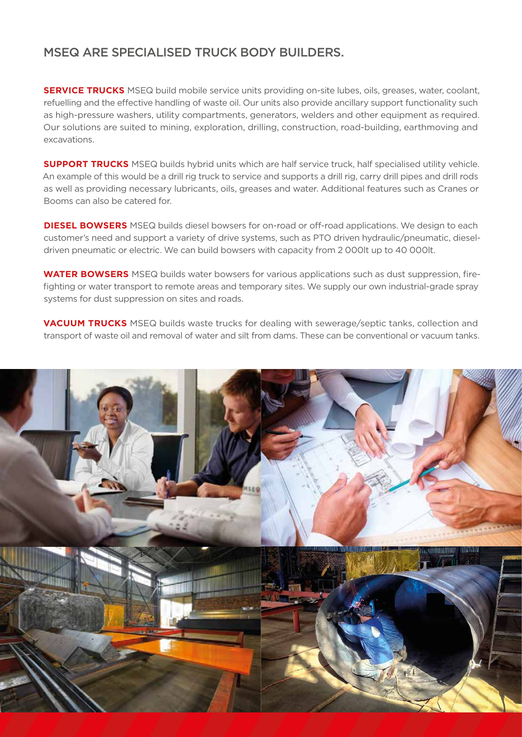#### MSEQ ARE SPECIALISED TRUCK BODY BUILDERS.

**SERVICE TRUCKS** MSEQ build mobile service units providing on-site lubes, oils, greases, water, coolant, refuelling and the effective handling of waste oil. Our units also provide ancillary support functionality such as high-pressure washers, utility compartments, generators, welders and other equipment as required. Our solutions are suited to mining, exploration, drilling, construction, road-building, earthmoving and excavations.

**SUPPORT TRUCKS** MSEQ builds hybrid units which are half service truck, half specialised utility vehicle. An example of this would be a drill rig truck to service and supports a drill rig, carry drill pipes and drill rods as well as providing necessary lubricants, oils, greases and water. Additional features such as Cranes or Booms can also be catered for.

**DIESEL BOWSERS** MSEQ builds diesel bowsers for on-road or off-road applications. We design to each customer's need and support a variety of drive systems, such as PTO driven hydraulic/pneumatic, dieseldriven pneumatic or electric. We can build bowsers with capacity from 2 000lt up to 40 000lt.

**WATER BOWSERS** MSEQ builds water bowsers for various applications such as dust suppression, firefighting or water transport to remote areas and temporary sites. We supply our own industrial-grade spray systems for dust suppression on sites and roads.

**VACUUM TRUCKS** MSEQ builds waste trucks for dealing with sewerage/septic tanks, collection and transport of waste oil and removal of water and silt from dams. These can be conventional or vacuum tanks.

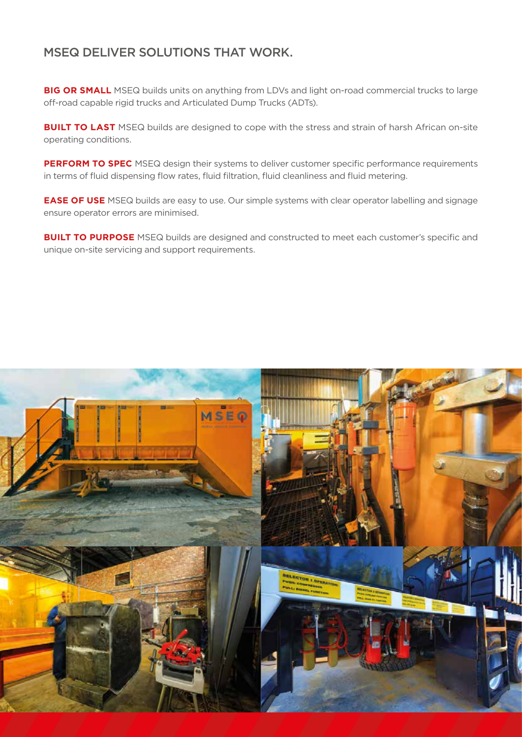#### MSEQ DELIVER SOLUTIONS THAT WORK.

**BIG OR SMALL** MSEQ builds units on anything from LDVs and light on-road commercial trucks to large off-road capable rigid trucks and Articulated Dump Trucks (ADTs).

**BUILT TO LAST** MSEQ builds are designed to cope with the stress and strain of harsh African on-site operating conditions.

**PERFORM TO SPEC** MSEQ design their systems to deliver customer specific performance requirements in terms of fluid dispensing flow rates, fluid filtration, fluid cleanliness and fluid metering.

**EASE OF USE** MSEQ builds are easy to use. Our simple systems with clear operator labelling and signage ensure operator errors are minimised.

**BUILT TO PURPOSE** MSEQ builds are designed and constructed to meet each customer's specific and unique on-site servicing and support requirements.

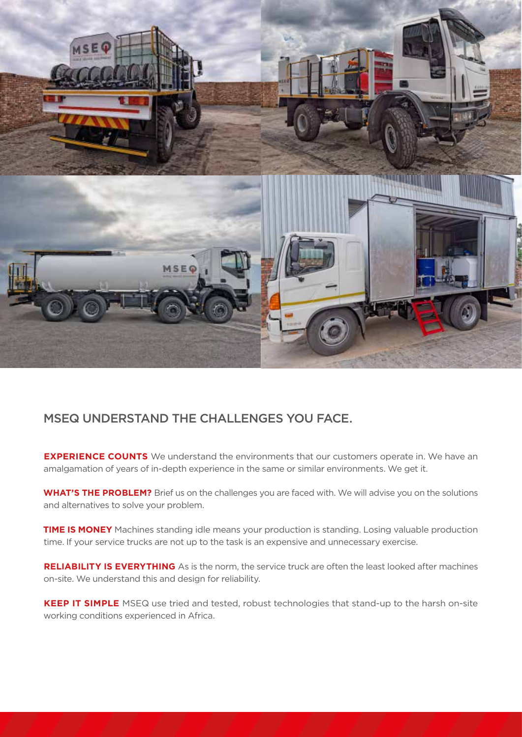

## MSEQ UNDERSTAND THE CHALLENGES YOU FACE.

**EXPERIENCE COUNTS** We understand the environments that our customers operate in. We have an amalgamation of years of in-depth experience in the same or similar environments. We get it.

**WHAT'S THE PROBLEM?** Brief us on the challenges you are faced with. We will advise you on the solutions and alternatives to solve your problem.

**TIME IS MONEY** Machines standing idle means your production is standing. Losing valuable production time. If your service trucks are not up to the task is an expensive and unnecessary exercise.

**RELIABILITY IS EVERYTHING** As is the norm, the service truck are often the least looked after machines on-site. We understand this and design for reliability.

**KEEP IT SIMPLE** MSEQ use tried and tested, robust technologies that stand-up to the harsh on-site working conditions experienced in Africa.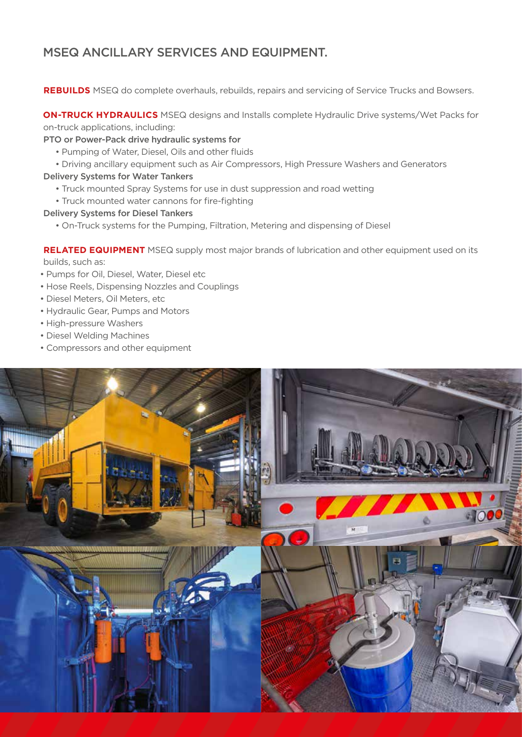## MSEQ ANCILLARY SERVICES AND EQUIPMENT.

**REBUILDS** MSEQ do complete overhauls, rebuilds, repairs and servicing of Service Trucks and Bowsers.

**ON-TRUCK HYDRAULICS** MSEQ designs and Installs complete Hydraulic Drive systems/Wet Packs for on-truck applications, including:

PTO or Power-Pack drive hydraulic systems for

- Pumping of Water, Diesel, Oils and other fluids
- Driving ancillary equipment such as Air Compressors, High Pressure Washers and Generators

#### Delivery Systems for Water Tankers

- Truck mounted Spray Systems for use in dust suppression and road wetting
- Truck mounted water cannons for fire-fighting

#### Delivery Systems for Diesel Tankers

• On-Truck systems for the Pumping, Filtration, Metering and dispensing of Diesel

**RELATED EQUIPMENT** MSEQ supply most major brands of lubrication and other equipment used on its builds, such as:

- Pumps for Oil, Diesel, Water, Diesel etc
- Hose Reels, Dispensing Nozzles and Couplings
- Diesel Meters, Oil Meters, etc
- Hydraulic Gear, Pumps and Motors
- High-pressure Washers
- Diesel Welding Machines
- Compressors and other equipment

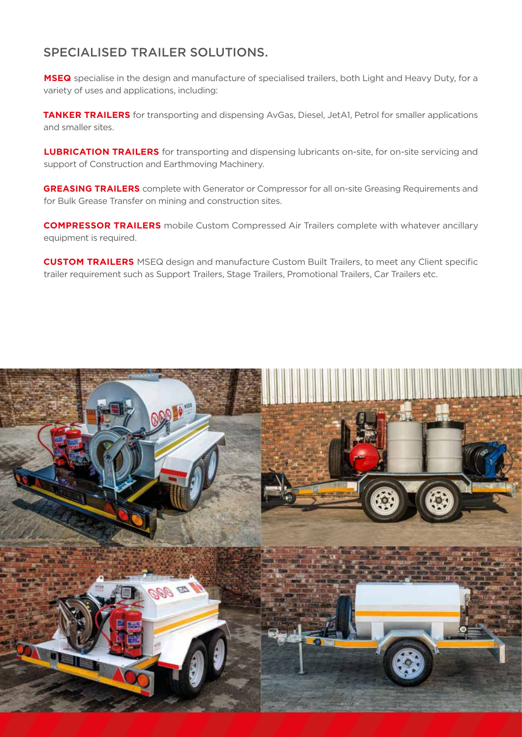#### SPECIALISED TRAILER SOLUTIONS.

**MSEQ** specialise in the design and manufacture of specialised trailers, both Light and Heavy Duty, for a variety of uses and applications, including:

**TANKER TRAILERS** for transporting and dispensing AvGas, Diesel, JetA1, Petrol for smaller applications and smaller sites.

**LUBRICATION TRAILERS** for transporting and dispensing lubricants on-site, for on-site servicing and support of Construction and Earthmoving Machinery.

**GREASING TRAILERS** complete with Generator or Compressor for all on-site Greasing Requirements and for Bulk Grease Transfer on mining and construction sites.

**COMPRESSOR TRAILERS** mobile Custom Compressed Air Trailers complete with whatever ancillary equipment is required.

**CUSTOM TRAILERS** MSEQ design and manufacture Custom Built Trailers, to meet any Client specific trailer requirement such as Support Trailers, Stage Trailers, Promotional Trailers, Car Trailers etc.

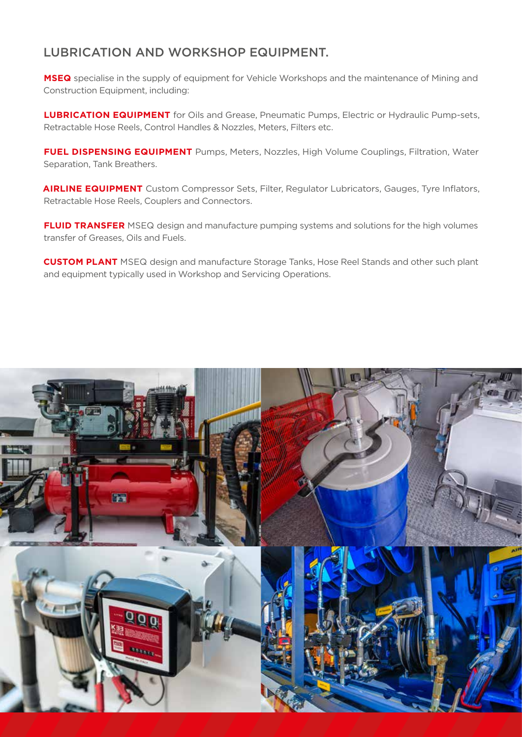#### LUBRICATION AND WORKSHOP EQUIPMENT.

**MSEQ** specialise in the supply of equipment for Vehicle Workshops and the maintenance of Mining and Construction Equipment, including:

**LUBRICATION EQUIPMENT** for Oils and Grease, Pneumatic Pumps, Electric or Hydraulic Pump-sets, Retractable Hose Reels, Control Handles & Nozzles, Meters, Filters etc.

**FUEL DISPENSING EQUIPMENT** Pumps, Meters, Nozzles, High Volume Couplings, Filtration, Water Separation, Tank Breathers.

**AIRLINE EQUIPMENT** Custom Compressor Sets, Filter, Regulator Lubricators, Gauges, Tyre Inflators, Retractable Hose Reels, Couplers and Connectors.

**FLUID TRANSFER** MSEQ design and manufacture pumping systems and solutions for the high volumes transfer of Greases, Oils and Fuels.

**CUSTOM PLANT** MSEQ design and manufacture Storage Tanks, Hose Reel Stands and other such plant and equipment typically used in Workshop and Servicing Operations.